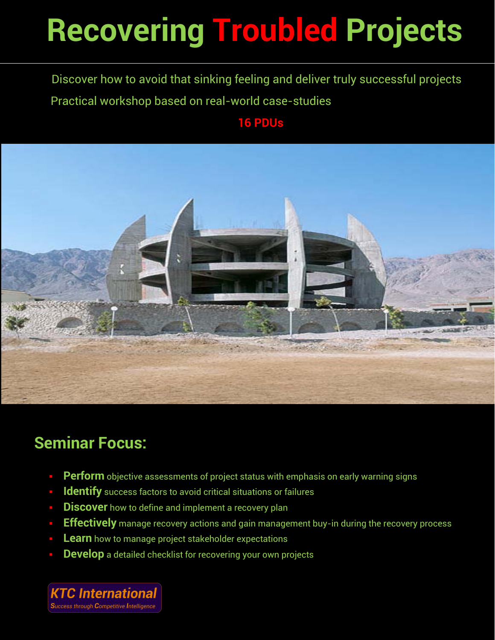# **Recovering Troubled Projects**

Discover how to avoid that sinking feeling and deliver truly successful projects Practical workshop based on real-world case-studies

### **16 PDUs**



### **Seminar Focus:**

- **Perform** objective assessments of project status with emphasis on early warning signs
- **Identify** success factors to avoid critical situations or failures
- **Discover** how to define and implement a recovery plan
- **Effectively** manage recovery actions and gain management buy-in during the recovery process
- **Learn** how to manage project stakeholder expectations
- **Develop** a detailed checklist for recovering your own projects

**KTC International** Success through Competitive Intelligence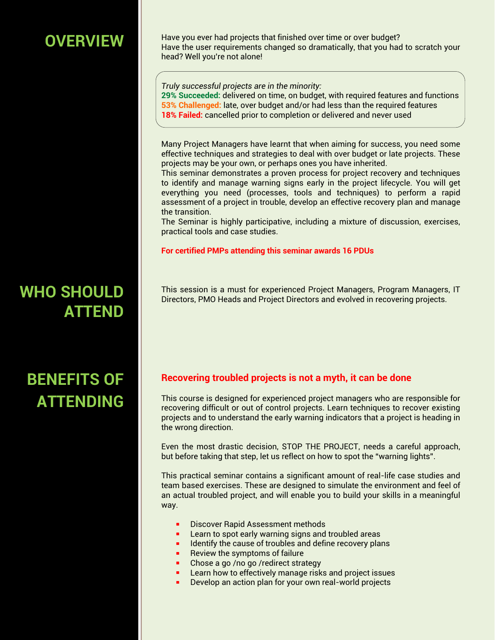### **OVERVIEW**

Have you ever had projects that finished over time or over budget? Have the user requirements changed so dramatically, that you had to scratch your head? Well you're not alone!

*Truly successful projects are in the minority:*  **29% Succeeded:** delivered on time, on budget, with required features and functions **53% Challenged:** late, over budget and/or had less than the required features **18% Failed:** cancelled prior to completion or delivered and never used

Many Project Managers have learnt that when aiming for success, you need some effective techniques and strategies to deal with over budget or late projects. These projects may be your own, or perhaps ones you have inherited.

This seminar demonstrates a proven process for project recovery and techniques to identify and manage warning signs early in the project lifecycle. You will get everything you need (processes, tools and techniques) to perform a rapid assessment of a project in trouble, develop an effective recovery plan and manage the transition.

The Seminar is highly participative, including a mixture of discussion, exercises, practical tools and case studies.

**For certified PMPs attending this seminar awards 16 PDUs**

This session is a must for experienced Project Managers, Program Managers, IT Directors, PMO Heads and Project Directors and evolved in recovering projects.

#### **Recovering troubled projects is not a myth, it can be done**

This course is designed for experienced project managers who are responsible for recovering difficult or out of control projects. Learn techniques to recover existing projects and to understand the early warning indicators that a project is heading in the wrong direction.

Even the most drastic decision, STOP THE PROJECT, needs a careful approach, but before taking that step, let us reflect on how to spot the "warning lights".

This practical seminar contains a significant amount of real-life case studies and team based exercises. These are designed to simulate the environment and feel of an actual troubled project, and will enable you to build your skills in a meaningful way.

- Discover Rapid Assessment methods
- Learn to spot early warning signs and troubled areas
- Identify the cause of troubles and define recovery plans
- Review the symptoms of failure
- Chose a go /no go /redirect strategy
- Learn how to effectively manage risks and project issues
- Develop an action plan for your own real-world projects

### **WHO SHOULD ATTEND**

## **BENEFITS OF ATTENDING**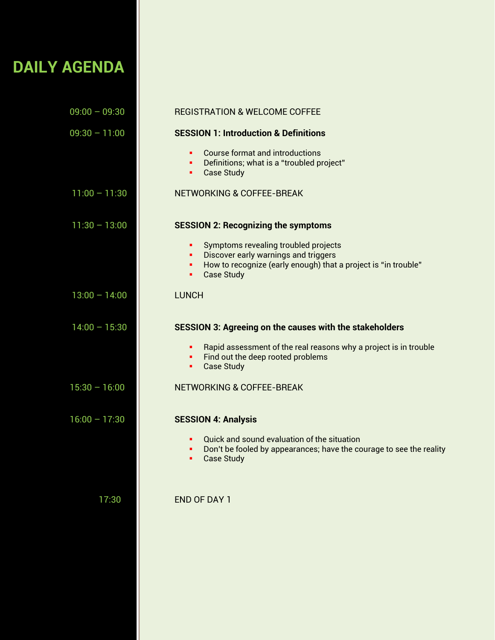### **DAILY AGENDA**

| $09:00 - 09:30$ | <b>REGISTRATION &amp; WELCOME COFFEE</b>                                                                                                                                                |
|-----------------|-----------------------------------------------------------------------------------------------------------------------------------------------------------------------------------------|
| $09:30 - 11:00$ | <b>SESSION 1: Introduction &amp; Definitions</b>                                                                                                                                        |
|                 | <b>Course format and introductions</b><br>٠<br>Definitions; what is a "troubled project"<br>٠<br><b>Case Study</b><br>٠                                                                 |
| $11:00 - 11:30$ | <b>NETWORKING &amp; COFFEE-BREAK</b>                                                                                                                                                    |
| $11:30 - 13:00$ | <b>SESSION 2: Recognizing the symptoms</b>                                                                                                                                              |
|                 | Symptoms revealing troubled projects<br>٠<br>Discover early warnings and triggers<br>٠<br>How to recognize (early enough) that a project is "in trouble"<br>٠<br><b>Case Study</b><br>٠ |
| $13:00 - 14:00$ | <b>LUNCH</b>                                                                                                                                                                            |
| $14:00 - 15:30$ | <b>SESSION 3: Agreeing on the causes with the stakeholders</b>                                                                                                                          |
|                 | Rapid assessment of the real reasons why a project is in trouble<br>٠<br>Find out the deep rooted problems<br>٠<br><b>Case Study</b><br>٠                                               |
| $15:30 - 16:00$ | <b>NETWORKING &amp; COFFEE-BREAK</b>                                                                                                                                                    |
| $16:00 - 17:30$ | <b>SESSION 4: Analysis</b>                                                                                                                                                              |
|                 | Quick and sound evaluation of the situation<br>٠<br>Don't be fooled by appearances; have the courage to see the reality<br>٠<br><b>Case Study</b><br>٠                                  |
| 17:30           | <b>END OF DAY 1</b>                                                                                                                                                                     |
|                 |                                                                                                                                                                                         |